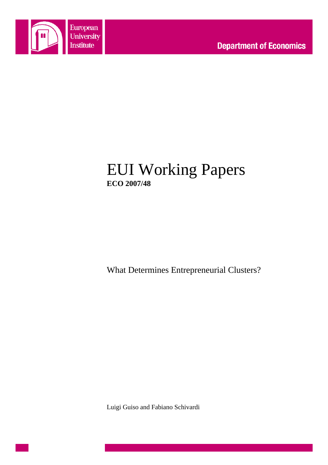

# EUI Working Papers **ECO 2007/48**

What Determines Entrepreneurial Clusters?

Luigi Guiso and Fabiano Schivardi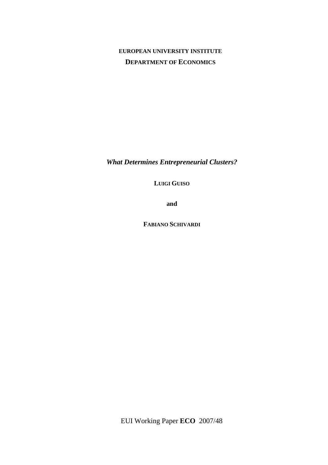# **EUROPEAN UNIVERSITY INSTITUTE DEPARTMENT OF ECONOMICS**

*What Determines Entrepreneurial Clusters?* 

**LUIGI GUISO** 

**and** 

**FABIANO SCHIVARDI**

EUI Working Paper **ECO** 2007/48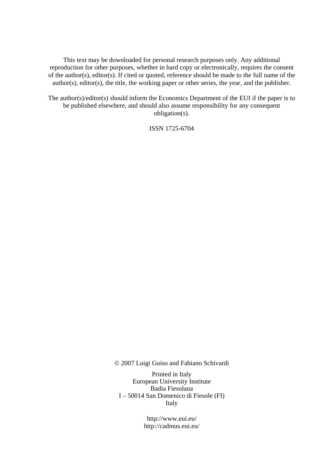This text may be downloaded for personal research purposes only. Any additional reproduction for other purposes, whether in hard copy or electronically, requires the consent of the author(s), editor(s). If cited or quoted, reference should be made to the full name of the author(s), editor(s), the title, the working paper or other series, the year, and the publisher.

The author(s)/editor(s) should inform the Economics Department of the EUI if the paper is to be published elsewhere, and should also assume responsibility for any consequent obligation(s).

ISSN 1725-6704

© 2007 Luigi Guiso and Fabiano Schivardi

Printed in Italy European University Institute Badia Fiesolana I – 50014 San Domenico di Fiesole (FI) Italy

> http://www.eui.eu/ http://cadmus.eui.eu/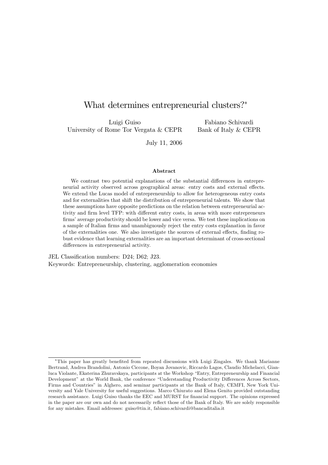# What determines entrepreneurial clusters?\*

Luigi Guiso University of Rome Tor Vergata & CEPR

Fabiano Schivardi Bank of Italy & CEPR

July 11, 2006

### Abstract

We contrast two potential explanations of the substantial differences in entrepreneurial activity observed across geographical areas: entry costs and external effects. We extend the Lucas model of entrepreneurship to allow for heterogeneous entry costs and for externalities that shift the distribution of entrepreneurial talents. We show that these assumptions have opposite predictions on the relation between entrepreneurial activity and firm level TFP: with different entry costs, in areas with more entrepreneurs firms' average productivity should be lower and vice versa. We test these implications on a sample of Italian firms and unambiguously reject the entry costs explanation in favor of the externalities one. We also investigate the sources of external effects, finding robust evidence that learning externalities are an important determinant of cross-sectional differences in entrepreneurial activity.

JEL Classification numbers: D24; D62; J23. Keywords: Entrepreneurship, clustering, agglomeration economies

<sup>\*</sup>This paper has greatly benefited from repeated discussions with Luigi Zingales. We thank Marianne Bertrand, Andrea Brandolini, Antonio Ciccone, Boyan Jovanovic, Riccardo Lagos, Claudio Michelacci, Gianluca Violante, Ekaterina Zhuravskaya, participants at the Workshop "Entry, Entrepreneurship and Financial Development" at the World Bank, the conference "Understanding Productivity Differences Across Sectors, Firms and Countries" in Alghero, and seminar participants at the Bank of Italy, CEMFI, New York University and Yale University for useful suggestions. Marco Chiurato and Elena Genito provided outstanding research assistance. Luigi Guiso thanks the EEC and MURST for financial support. The opinions expressed in the paper are our own and do not necessarily reflect those of the Bank of Italy. We are solely responsible for any mistakes. Email addresses: guiso@tin.it, fabiano.schivardi@bancaditalia.it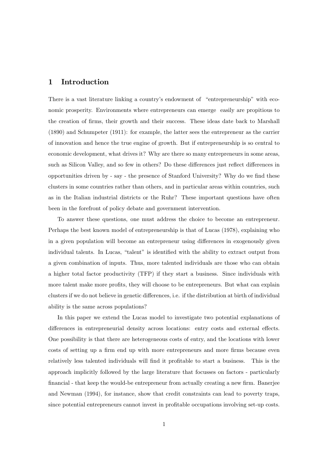#### $\mathbf{1}$ Introduction

There is a vast literature linking a country's endowment of "entrepreneurship" with economic prosperity. Environments where entrepreneurs can emerge easily are propitious to the creation of firms, their growth and their success. These ideas date back to Marshall  $(1890)$  and Schumpeter  $(1911)$ : for example, the latter sees the entrepreneur as the carrier of innovation and hence the true engine of growth. But if entrepreneurship is so central to economic development, what drives it? Why are there so many entrepreneurs in some areas, such as Silicon Valley, and so few in others? Do these differences just reflect differences in opportunities driven by - say - the presence of Stanford University? Why do we find these clusters in some countries rather than others, and in particular areas within countries, such as in the Italian industrial districts or the Ruhr? These important questions have often been in the forefront of policy debate and government intervention.

To answer these questions, one must address the choice to become an entrepreneur. Perhaps the best known model of entrepreneurship is that of Lucas (1978), explaining who in a given population will become an entrepreneur using differences in exogenously given individual talents. In Lucas, "talent" is identified with the ability to extract output from a given combination of inputs. Thus, more talented individuals are those who can obtain a higher total factor productivity (TFP) if they start a business. Since individuals with more talent make more profits, they will choose to be entrepreneurs. But what can explain clusters if we do not believe in genetic differences, i.e. if the distribution at birth of individual ability is the same across populations?

In this paper we extend the Lucas model to investigate two potential explanations of differences in entrepreneurial density across locations: entry costs and external effects. One possibility is that there are heterogeneous costs of entry, and the locations with lower costs of setting up a firm end up with more entrepreneurs and more firms because even relatively less talented individuals will find it profitable to start a business. This is the approach implicitly followed by the large literature that focusses on factors - particularly financial - that keep the would-be entrepreneur from actually creating a new firm. Banerjee and Newman (1994), for instance, show that credit constraints can lead to poverty traps, since potential entrepreneurs cannot invest in profitable occupations involving set-up costs.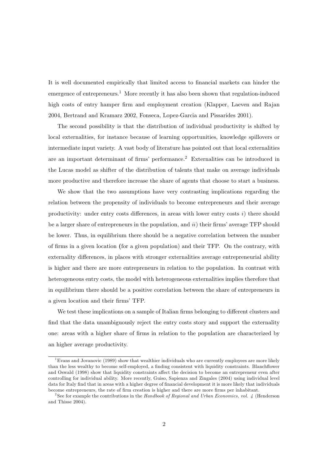It is well documented empirically that limited access to financial markets can hinder the emergence of entrepreneurs.<sup>1</sup> More recently it has also been shown that regulation-induced high costs of entry hamper firm and employment creation (Klapper, Laeven and Rajan 2004, Bertrand and Kramarz 2002, Fonseca, Lopez-Garcia and Pissarides 2001).

The second possibility is that the distribution of individual productivity is shifted by local externalities, for instance because of learning opportunities, knowledge spillovers or intermediate input variety. A vast body of literature has pointed out that local externalities are an important determinant of firms' performance.<sup>2</sup> Externalities can be introduced in the Lucas model as shifter of the distribution of talents that make on average individuals more productive and therefore increase the share of agents that choose to start a business.

We show that the two assumptions have very contrasting implications regarding the relation between the propensity of individuals to become entrepreneurs and their average productivity: under entry costs differences, in areas with lower entry costs  $i$ ) there should be a larger share of entrepreneurs in the population, and  $ii)$  their firms' average TFP should be lower. Thus, in equilibrium there should be a negative correlation between the number of firms in a given location (for a given population) and their TFP. On the contrary, with externality differences, in places with stronger externalities average entrepreneurial ability is higher and there are more entrepreneurs in relation to the population. In contrast with heterogeneous entry costs, the model with heterogeneous externalities implies therefore that in equilibrium there should be a positive correlation between the share of entrepreneurs in a given location and their firms' TFP.

We test these implications on a sample of Italian firms belonging to different clusters and find that the data unambiguously reject the entry costs story and support the externality one: areas with a higher share of firms in relation to the population are characterized by an higher average productivity.

<sup>&</sup>lt;sup>1</sup> Evans and Jovanovic (1989) show that wealthier individuals who are currently employees are more likely than the less wealthy to become self-employed, a finding consistent with liquidity constraints. Blanchflower and Oswald (1998) show that liquidity constraints affect the decision to become an entrepreneur even after controlling for individual ability. More recently, Guiso, Sapienza and Zingales (2004) using individual level data for Italy find that in areas with a higher degree of financial development it is more likely that individuals become entrepreneurs, the rate of firm creation is higher and there are more firms per inhabitant.

<sup>&</sup>lt;sup>2</sup>See for example the contributions in the Handbook of Regional and Urban Economics, vol. 4 (Henderson and Thisse 2004).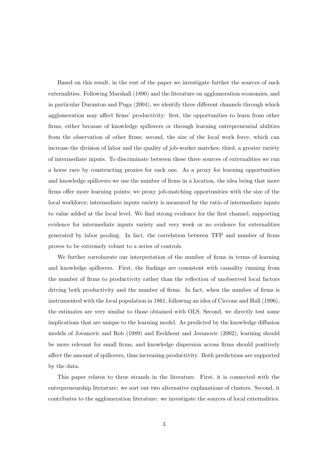Based on this result, in the rest of the paper we investigate further the sources of such externalities. Following Marshall (1890) and the literature on agglomeration economies, and in particular Duranton and Puga (2004), we identify three different channels through which agglomeration may affect firms' productivity: first, the opportunities to learn from other firms, either because of knowledge spillovers or through learning entrepreneurial abilities from the observation of other firms; second, the size of the local work force, which can increase the division of labor and the quality of job-worker matches; third, a greater variety of intermediate inputs. To discriminate between these three sources of externalities we run a horse race by constructing proxies for each one. As a proxy for learning opportunities and knowledge spillovers we use the number of firms in a location, the idea being that more firms offer more learning points; we proxy job-matching opportunities with the size of the local workforce; intermediate inputs variety is measured by the ratio of intermediate inputs to value added at the local level. We find strong evidence for the first channel, supporting evidence for intermediate inputs variety and very week or no evidence for externalities generated by labor pooling. In fact, the correlation between TFP and number of firms proves to be extremely robust to a series of controls.

We further corroborate our interpretation of the number of firms in terms of learning and knowledge spillovers. First, the findings are consistent with causality running from the number of firms to productivity rather than the reflection of unobserved local factors driving both productivity and the number of firms. In fact, when the number of firms is instrumented with the local population in 1861, following an idea of Ciccone and Hall (1996). the estimates are very similar to those obtained with OLS. Second, we directly test some implications that are unique to the learning model. As predicted by the knowledge diffusion models of Jovanovic and Rob (1989) and Eeckhout and Jovanovic (2002), learning should be more relevant for small firms, and knowledge dispersion across firms should positively affect the amount of spillovers, thus increasing productivity. Both predictions are supported by the data.

This paper relates to three strands in the literature. First, it is connected with the entrepreneurship literature: we sort out two alternative explanations of clusters. Second, it contributes to the agglomeration literature: we investigate the sources of local externalities.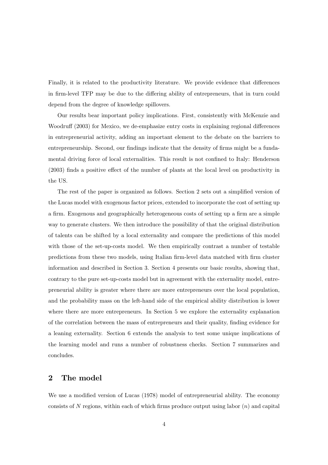Finally, it is related to the productivity literature. We provide evidence that differences in firm-level TFP may be due to the differing ability of entrepreneurs, that in turn could depend from the degree of knowledge spillovers.

Our results bear important policy implications. First, consistently with McKenzie and Woodruff (2003) for Mexico, we de-emphasize entry costs in explaining regional differences in entrepreneurial activity, adding an important element to the debate on the barriers to entrepreneurship. Second, our findings indicate that the density of firms might be a fundamental driving force of local externalities. This result is not confined to Italy: Henderson (2003) finds a positive effect of the number of plants at the local level on productivity in the US.

The rest of the paper is organized as follows. Section 2 sets out a simplified version of the Lucas model with exogenous factor prices, extended to incorporate the cost of setting up a firm. Exogenous and geographically heterogeneous costs of setting up a firm are a simple way to generate clusters. We then introduce the possibility of that the original distribution of talents can be shifted by a local externality and compare the predictions of this model with those of the set-up-costs model. We then empirically contrast a number of testable predictions from these two models, using Italian firm-level data matched with firm cluster information and described in Section 3. Section 4 presents our basic results, showing that, contrary to the pure set-up-costs model but in agreement with the externality model, entrepreneurial ability is greater where there are more entrepreneurs over the local population, and the probability mass on the left-hand side of the empirical ability distribution is lower where there are more entrepreneurs. In Section 5 we explore the externality explanation of the correlation between the mass of entrepreneurs and their quality, finding evidence for a leaning externality. Section 6 extends the analysis to test some unique implications of the learning model and runs a number of robustness checks. Section 7 summarizes and concludes.

#### $\overline{2}$ The model

We use a modified version of Lucas (1978) model of entrepreneurial ability. The economy consists of N regions, within each of which firms produce output using labor  $(n)$  and capital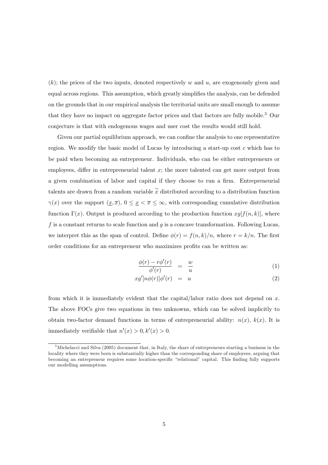$(k)$ ; the prices of the two inputs, denoted respectively w and u, are exogenously given and equal across regions. This assumption, which greatly simplifies the analysis, can be defended on the grounds that in our empirical analysis the territorial units are small enough to assume that they have no impact on aggregate factor prices and that factors are fully mobile.<sup>3</sup> Our conjecture is that with endogenous wages and user cost the results would still hold.

Given our partial equilibrium approach, we can confine the analysis to one representative region. We modify the basic model of Lucas by introducing a start-up cost c which has to be paid when becoming an entrepreneur. Individuals, who can be either entrepreneurs or employees, differ in entrepreneurial talent  $x$ ; the more talented can get more output from a given combination of labor and capital if they choose to run a firm. Entrepreneurial talents are drawn from a random variable  $\tilde{x}$  distributed according to a distribution function  $\gamma(x)$  over the support  $(\underline{x}, \overline{x}), 0 \le \underline{x} < \overline{x} \le \infty$ , with corresponding cumulative distribution function  $\Gamma(x)$ . Output is produced according to the production function  $xg[f(n,k)]$ , where f is a constant returns to scale function and g is a concave transformation. Following Lucas, we interpret this as the span of control. Define  $\phi(r) = f(n,k)/n$ , where  $r = k/n$ . The first order conditions for an entrepreneur who maximizes profits can be written as:

$$
\frac{\phi(r) - r\phi'(r)}{\phi'(r)} = \frac{w}{u} \tag{1}
$$

$$
xg'[n\phi(r)]\phi'(r) = u \tag{2}
$$

from which it is immediately evident that the capital/labor ratio does not depend on  $x$ . The above FOCs give two equations in two unknowns, which can be solved implicitly to obtain two-factor demand functions in terms of entrepreneurial ability:  $n(x)$ ,  $k(x)$ . It is immediately verifiable that  $n'(x) > 0, k'(x) > 0$ .

<sup>&</sup>lt;sup>3</sup>Michelacci and Silva (2005) document that, in Italy, the share of entrepreneurs starting a business in the locality where they were born is substantially higher than the corresponding share of employees, arguing that becoming an entrepreneur requires some location-specific "relational" capital. This finding fully supports our modelling assumptions.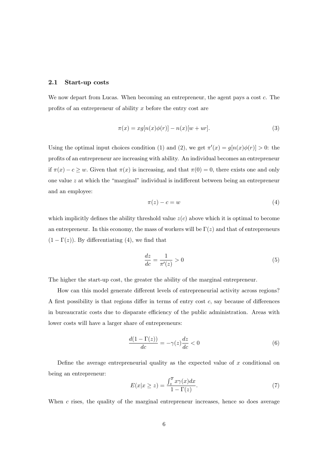#### $2.1$ Start-up costs

We now depart from Lucas. When becoming an entrepreneur, the agent pays a cost c. The profits of an entrepreneur of ability  $x$  before the entry cost are

$$
\pi(x) = xg[n(x)\phi(r)] - n(x)[w+ur].\tag{3}
$$

Using the optimal input choices condition (1) and (2), we get  $\pi'(x) = g[n(x)\phi(r)] > 0$ : the profits of an entrepreneur are increasing with ability. An individual becomes an entrepreneur if  $\pi(x) - c \geq w$ . Given that  $\pi(x)$  is increasing, and that  $\pi(0) = 0$ , there exists one and only one value  $z$  at which the "marginal" individual is indifferent between being an entrepreneur and an employee:

$$
\pi(z) - c = w \tag{4}
$$

which implicitly defines the ability threshold value  $z(c)$  above which it is optimal to become an entrepreneur. In this economy, the mass of workers will be  $\Gamma(z)$  and that of entrepreneurs  $(1 - \Gamma(z))$ . By differentiating (4), we find that

$$
\frac{dz}{dc} = \frac{1}{\pi'(z)} > 0\tag{5}
$$

The higher the start-up cost, the greater the ability of the marginal entrepreneur.

How can this model generate different levels of entrepreneurial activity across regions? A first possibility is that regions differ in terms of entry cost  $c$ , say because of differences in bureaucratic costs due to disparate efficiency of the public administration. Areas with lower costs will have a larger share of entrepreneurs:

$$
\frac{d(1-\Gamma(z))}{dc} = -\gamma(z)\frac{dz}{dc} < 0\tag{6}
$$

Define the average entrepreneurial quality as the expected value of  $x$  conditional on being an entrepreneur:

$$
E(x|x \ge z) = \frac{\int_{z}^{\overline{x}} x\gamma(x)dx}{1 - \Gamma(z)}.
$$
\n(7)

When  $c$  rises, the quality of the marginal entrepreneur increases, hence so does average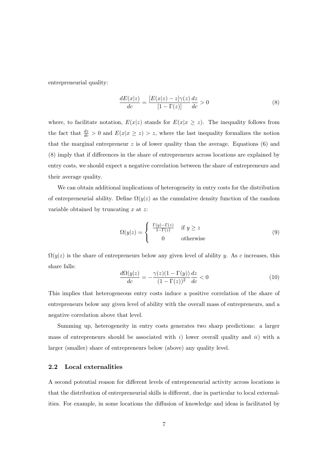entrepreneurial quality:

$$
\frac{dE(x|z)}{dc} = \frac{[E(x|z) - z]\gamma(z)}{[1 - \Gamma(z)]} \frac{dz}{dc} > 0
$$
\n(8)

where, to facilitate notation,  $E(x|z)$  stands for  $E(x|x \geq z)$ . The inequality follows from the fact that  $\frac{dz}{dc} > 0$  and  $E(x|x \ge z) > z$ , where the last inequality formalizes the notion that the marginal entrepreneur  $z$  is of lower quality than the average. Equations (6) and (8) imply that if differences in the share of entrepreneurs across locations are explained by entry costs, we should expect a negative correlation between the share of entrepreneurs and their average quality.

We can obtain additional implications of heterogeneity in entry costs for the distribution of entrepreneurial ability. Define  $\Omega(y|z)$  as the cumulative density function of the random variable obtained by truncating  $x$  at  $z$ .

$$
\Omega(y|z) = \begin{cases} \frac{\Gamma(y) - \Gamma(z)}{1 - \Gamma(z)} & \text{if } y \ge z \\ 0 & \text{otherwise} \end{cases}
$$
\n(9)

 $\Omega(y|z)$  is the share of entrepreneurs below any given level of ability y. As c increases, this share falls:

$$
\frac{d\Omega(y|z)}{dc} = -\frac{\gamma(z)(1-\Gamma(y))}{(1-\Gamma(z))^2}\frac{dz}{dc} < 0\tag{10}
$$

This implies that heterogeneous entry costs induce a positive correlation of the share of entrepreneurs below any given level of ability with the overall mass of entrepreneurs, and a negative correlation above that level.

Summing up, heterogeneity in entry costs generates two sharp predictions: a larger mass of entrepreneurs should be associated with  $i$ ) lower overall quality and  $ii$ ) with a larger (smaller) share of entrepreneurs below (above) any quality level.

#### $2.2$ Local externalities

A second potential reason for different levels of entrepreneurial activity across locations is that the distribution of entrepreneurial skills is different, due in particular to local externalities. For example, in some locations the diffusion of knowledge and ideas is facilitated by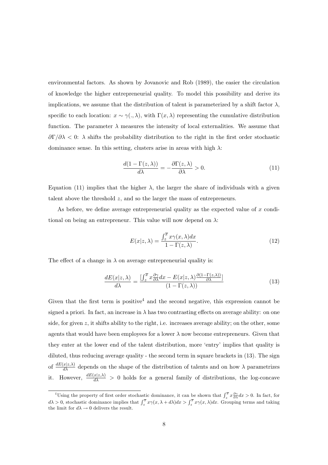environmental factors. As shown by Jovanovic and Rob (1989), the easier the circulation of knowledge the higher entrepreneurial quality. To model this possibility and derive its implications, we assume that the distribution of talent is parameterized by a shift factor  $\lambda$ , specific to each location:  $x \sim \gamma(.,\lambda)$ , with  $\Gamma(x,\lambda)$  representing the cumulative distribution function. The parameter  $\lambda$  measures the intensity of local externalities. We assume that  $\frac{\partial \Gamma}{\partial \lambda}$  < 0:  $\lambda$  shifts the probability distribution to the right in the first order stochastic dominance sense. In this setting, clusters arise in areas with high  $\lambda$ :

$$
\frac{d(1-\Gamma(z,\lambda))}{d\lambda} = -\frac{\partial \Gamma(z,\lambda)}{\partial \lambda} > 0.
$$
 (11)

Equation (11) implies that the higher  $\lambda$ , the larger the share of individuals with a given talent above the threshold  $z$ , and so the larger the mass of entrepreneurs.

As before, we define average entrepreneurial quality as the expected value of x conditional on being an entrepreneur. This value will now depend on  $\lambda$ :

$$
E(x|z,\lambda) = \frac{\int_{z}^{\overline{x}} x\gamma(x,\lambda)dx}{1 - \Gamma(z,\lambda)}.
$$
\n(12)

The effect of a change in  $\lambda$  on average entrepreneurial quality is:

$$
\frac{dE(x|z,\lambda)}{d\lambda} = \frac{\left[\int_z^{\overline{x}} x \frac{\partial \gamma}{\partial \lambda} dx - E(x|z,\lambda) \frac{\partial (1-\Gamma(z,\lambda))}{\partial \lambda}\right]}{(1-\Gamma(z,\lambda))}
$$
(13)

Given that the first term is positive<sup>4</sup> and the second negative, this expression cannot be signed a priori. In fact, an increase in  $\lambda$  has two contrasting effects on average ability: on one side, for given  $z$ , it shifts ability to the right, i.e. increases average ability; on the other, some agents that would have been employees for a lower  $\lambda$  now become entrepreneurs. Given that they enter at the lower end of the talent distribution, more 'entry' implies that quality is diluted, thus reducing average quality - the second term in square brackets in (13). The sign of  $\frac{dE(x|z,\lambda)}{d\lambda}$  depends on the shape of the distribution of talents and on how  $\lambda$  parametrizes it. However,  $\frac{dE(x|z,\lambda)}{d\lambda} > 0$  holds for a general family of distributions, the log-concave

<sup>&</sup>lt;sup>4</sup>Using the property of first order stochastic dominance, it can be shown that  $\int_{z}^{\overline{x}} x \frac{\partial \gamma}{\partial \lambda} dx > 0$ . In fact, for  $d\lambda > 0$ , stochastic dominance implies that  $\int_{z}^{\overline{x}} x\gamma(x, \lambda + d\lambda) dx > \int_{z}^{\overline{x}} x\gamma(x, \lambda) dx$ . Gro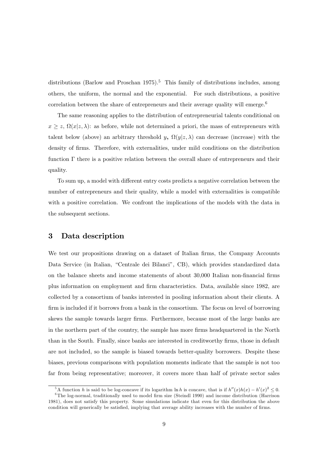distributions (Barlow and Proschan 1975).<sup>5</sup> This family of distributions includes, among others, the uniform, the normal and the exponential. For such distributions, a positive correlation between the share of entrepreneurs and their average quality will emerge.<sup>6</sup>

The same reasoning applies to the distribution of entrepreneurial talents conditional on  $x \geq z$ ,  $\Omega(x|z,\lambda)$ : as before, while not determined a priori, the mass of entrepreneurs with talent below (above) an arbitrary threshold y,  $\Omega(y|z,\lambda)$  can decrease (increase) with the density of firms. Therefore, with externalities, under mild conditions on the distribution function  $\Gamma$  there is a positive relation between the overall share of entrepreneurs and their quality.

To sum up, a model with different entry costs predicts a negative correlation between the number of entrepreneurs and their quality, while a model with externalities is compatible with a positive correlation. We confront the implications of the models with the data in the subsequent sections.

#### 3 Data description

We test our propositions drawing on a dataset of Italian firms, the Company Accounts Data Service (in Italian, "Centrale dei Bilanci", CB), which provides standardized data on the balance sheets and income statements of about 30,000 Italian non-financial firms plus information on employment and firm characteristics. Data, available since 1982, are collected by a consortium of banks interested in pooling information about their clients. A firm is included if it borrows from a bank in the consortium. The focus on level of borrowing skews the sample towards larger firms. Furthermore, because most of the large banks are in the northern part of the country, the sample has more firms headquartered in the North than in the South. Finally, since banks are interested in creditworthy firms, those in default are not included, so the sample is biased towards better-quality borrowers. Despite these biases, previous comparisons with population moments indicate that the sample is not too far from being representative; moreover, it covers more than half of private sector sales

<sup>&</sup>lt;sup>5</sup>A function h is said to be log-concave if its logarithm ln h is concave, that is if  $h''(x)h(x) - h'(x)^2 \leq 0$ .

 ${}^{6}$ The log-normal, traditionally used to model firm size (Steindl 1990) and income distribution (Harrison 1981), does not satisfy this property. Some simulations indicate that even for this distribution the above condition will generically be satisfied, implying that average ability increases with the number of firms.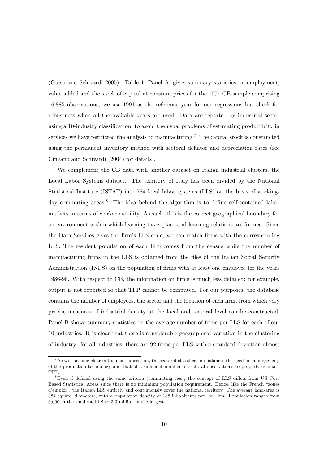(Guiso and Schivardi 2005). Table 1, Panel A, gives summary statistics on employment, value added and the stock of capital at constant prices for the 1991 CB sample comprising 16,885 observations; we use 1991 as the reference year for our regressions but check for robustness when all the available years are used. Data are reported by industrial sector using a 10-industry classification; to avoid the usual problems of estimating productivity in services we have restricted the analysis to manufacturing.<sup>7</sup> The capital stock is constructed using the permanent inventory method with sectoral deflator and depreciation rates (see Cingano and Schivardi (2004) for details).

We complement the CB data with another dataset on Italian industrial clusters, the Local Labor Systems dataset. The territory of Italy has been divided by the National Statistical Institute (ISTAT) into 784 local labor systems (LLS) on the basis of workingday commuting areas.<sup>8</sup> The idea behind the algorithm is to define self-contained labor markets in terms of worker mobility. As such, this is the correct geographical boundary for an environment within which learning takes place and learning relations are formed. Since the Data Services gives the firm's LLS code, we can match firms with the corresponding LLS. The resident population of each LLS comes from the census while the number of manufacturing firms in the LLS is obtained from the files of the Italian Social Security Administration (INPS) on the population of firms with at least one employee for the years 1986-98. With respect to CB, the information on firms is much less detailed: for example, output is not reported so that TFP cannot be computed. For our purposes, the database contains the number of employees, the sector and the location of each firm, from which very precise measures of industrial density at the local and sectoral level can be constructed. Panel B shows summary statistics on the average number of firms per LLS for each of our 10 industries. It is clear that there is considerable geographical variation in the clustering of industry: for all industries, there are 92 firms per LLS with a standard deviation almost

 ${}^{7}$ As will become clear in the next subsection, the sectoral classification balances the need for homogeneity of the production technology and that of a sufficient number of sectoral observations to properly estimate TFP.

<sup>&</sup>lt;sup>8</sup>Even if defined using the same criteria (commuting ties), the concept of LLS differs from US Core Based Statistical Areas since there is no minimum population requirement. Hence, like the French "zones d'emploi", the Italian LLS entirely and continuously cover the national territory. The average land-area is 384 square kilometers, with a population density of 188 inhabitants per sq. km. Population ranges from 3,000 in the smallest LLS to 3.3 million in the largest.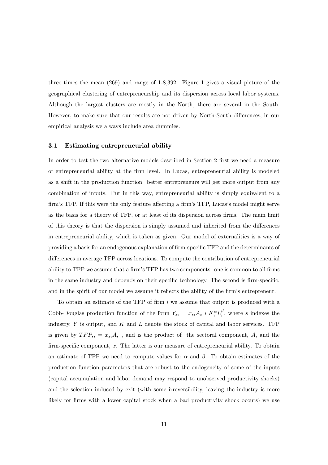three times the mean  $(269)$  and range of 1-8,392. Figure 1 gives a visual picture of the geographical clustering of entrepreneurship and its dispersion across local labor systems. Although the largest clusters are mostly in the North, there are several in the South. However, to make sure that our results are not driven by North-South differences, in our empirical analysis we always include area dummies.

#### 3.1 Estimating entrepreneurial ability

In order to test the two alternative models described in Section 2 first we need a measure of entrepreneurial ability at the firm level. In Lucas, entrepreneurial ability is modeled as a shift in the production function: better entrepreneurs will get more output from any combination of inputs. Put in this way, entrepreneurial ability is simply equivalent to a firm's TFP. If this were the only feature affecting a firm's TFP, Lucas's model might serve as the basis for a theory of TFP, or at least of its dispersion across firms. The main limit of this theory is that the dispersion is simply assumed and inherited from the differences in entrepreneurial ability, which is taken as given. Our model of externalities is a way of providing a basis for an endogenous explanation of firm-specific TFP and the determinants of differences in average TFP across locations. To compute the contribution of entrepreneurial ability to TFP we assume that a firm's TFP has two components: one is common to all firms in the same industry and depends on their specific technology. The second is firm-specific, and in the spirit of our model we assume it reflects the ability of the firm's entrepreneur.

To obtain an estimate of the TFP of firm  $i$  we assume that output is produced with a Cobb-Douglas production function of the form  $Y_{si} = x_{si} A_s * K_i^{\alpha} L_i^{\beta}$ , where s indexes the industry,  $Y$  is output, and  $K$  and  $L$  denote the stock of capital and labor services. TFP is given by  $TFP_{si} = x_{si}A_s$ , and is the product of the sectoral component, A, and the  $firm-specific component, x. The latter is our measure of entrepreneurial ability. To obtain$ an estimate of TFP we need to compute values for  $\alpha$  and  $\beta$ . To obtain estimates of the production function parameters that are robust to the endogeneity of some of the inputs (capital accumulation and labor demand may respond to unobserved productivity shocks) and the selection induced by exit (with some irreversibility, leaving the industry is more likely for firms with a lower capital stock when a bad productivity shock occurs) we use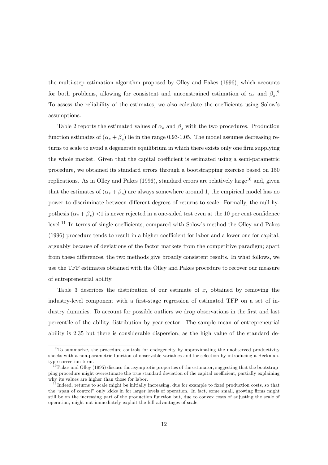the multi-step estimation algorithm proposed by Olley and Pakes (1996), which accounts for both problems, allowing for consistent and unconstrained estimation of  $\alpha_s$  and  $\beta_s$ . To assess the reliability of the estimates, we also calculate the coefficients using Solow's assumptions.

Table 2 reports the estimated values of  $\alpha_s$  and  $\beta_s$  with the two procedures. Production function estimates of  $(\alpha_s + \beta_s)$  lie in the range 0.93-1.05. The model assumes decreasing returns to scale to avoid a degenerate equilibrium in which there exists only one firm supplying the whole market. Given that the capital coefficient is estimated using a semi-parametric procedure, we obtained its standard errors through a bootstrapping exercise based on 150 replications. As in Olley and Pakes (1996), standard errors are relatively large<sup>10</sup> and, given that the estimates of  $(\alpha_s + \beta_s)$  are always somewhere around 1, the empirical model has no power to discriminate between different degrees of returns to scale. Formally, the null hypothesis  $(\alpha_s + \beta_s)$  <1 is never rejected in a one-sided test even at the 10 per cent confidence level.<sup>11</sup> In terms of single coefficients, compared with Solow's method the Olley and Pakes (1996) procedure tends to result in a higher coefficient for labor and a lower one for capital. arguably because of deviations of the factor markets from the competitive paradigm; apart from these differences, the two methods give broadly consistent results. In what follows, we use the TFP estimates obtained with the Olley and Pakes procedure to recover our measure of entrepreneurial ability.

Table 3 describes the distribution of our estimate of  $x$ , obtained by removing the industry-level component with a first-stage regression of estimated TFP on a set of industry dummies. To account for possible outliers we drop observations in the first and last percentile of the ability distribution by year-sector. The sample mean of entrepreneurial ability is 2.35 but there is considerable dispersion, as the high value of the standard de-

 $9^9$ To summarize, the procedure controls for endogeneity by approximating the unobserved productivity shocks with a non-parametric function of observable variables and for selection by introducing a Heckmantype correction term.

<sup>&</sup>lt;sup>10</sup> Pakes and Olley (1995) discuss the asymptotic properties of the estimator, suggesting that the bootstrapping procedure might overestimate the true standard deviation of the capital coefficient, partially explaining why its values are higher than those for labor.

 $11$  Indeed, returns to scale might be initially increasing, due for example to fixed production costs, so that the "span of control" only kicks in for larger levels of operation. In fact, some small, growing firms might still be on the increasing part of the production function but, due to convex costs of adjusting the scale of operation, might not immediately exploit the full advantages of scale.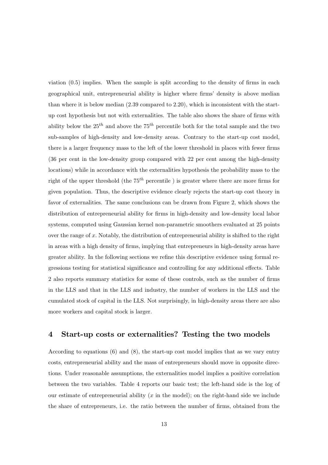viation  $(0.5)$  implies. When the sample is split according to the density of firms in each geographical unit, entrepreneurial ability is higher where firms' density is above median than where it is below median  $(2.39 \text{ compared to } 2.20)$ , which is inconsistent with the startup cost hypothesis but not with externalities. The table also shows the share of firms with ability below the  $25^{th}$  and above the  $75^{th}$  percentile both for the total sample and the two sub-samples of high-density and low-density areas. Contrary to the start-up cost model, there is a larger frequency mass to the left of the lower threshold in places with fewer firms (36 per cent in the low-density group compared with 22 per cent among the high-density locations) while in accordance with the externalities hypothesis the probability mass to the right of the upper threshold (the  $75^{th}$  percentile) is greater where there are more firms for given population. Thus, the descriptive evidence clearly rejects the start-up cost theory in favor of externalities. The same conclusions can be drawn from Figure 2, which shows the distribution of entrepreneurial ability for firms in high-density and low-density local labor systems, computed using Gaussian kernel non-parametric smoothers evaluated at 25 points over the range of  $x$ . Notably, the distribution of entrepreneurial ability is shifted to the right in areas with a high density of firms, implying that entrepreneurs in high-density areas have greater ability. In the following sections we refine this descriptive evidence using formal regressions testing for statistical significance and controlling for any additional effects. Table 2 also reports summary statistics for some of these controls, such as the number of firms in the LLS and that in the LLS and industry, the number of workers in the LLS and the cumulated stock of capital in the LLS. Not surprisingly, in high-density areas there are also more workers and capital stock is larger.

#### Start-up costs or externalities? Testing the two models  $\boldsymbol{4}$

According to equations  $(6)$  and  $(8)$ , the start-up cost model implies that as we vary entry costs, entrepreneurial ability and the mass of entrepreneurs should move in opposite directions. Under reasonable assumptions, the externalities model implies a positive correlation between the two variables. Table 4 reports our basic test; the left-hand side is the log of our estimate of entrepreneurial ability  $(x$  in the model); on the right-hand side we include the share of entrepreneurs, i.e. the ratio between the number of firms, obtained from the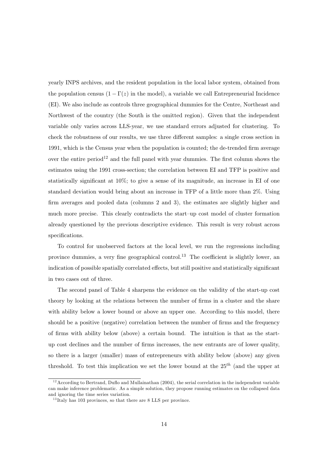yearly INPS archives, and the resident population in the local labor system, obtained from the population census  $(1 - \Gamma(z))$  in the model), a variable we call Entrepreneurial Incidence (EI). We also include as controls three geographical dummies for the Centre, Northeast and Northwest of the country (the South is the omitted region). Given that the independent variable only varies across LLS-year, we use standard errors adjusted for clustering. To check the robustness of our results, we use three different samples: a single cross section in 1991, which is the Census year when the population is counted; the de-trended firm average over the entire period<sup>12</sup> and the full panel with year dummies. The first column shows the estimates using the 1991 cross-section; the correlation between EI and TFP is positive and statistically significant at  $10\%$ ; to give a sense of its magnitude, an increase in EI of one standard deviation would bring about an increase in TFP of a little more than 2\%. Using firm averages and pooled data (columns 2 and 3), the estimates are slightly higher and much more precise. This clearly contradicts the start-up cost model of cluster formation already questioned by the previous descriptive evidence. This result is very robust across specifications.

To control for unobserved factors at the local level, we run the regressions including province dummies, a very fine geographical control.<sup>13</sup> The coefficient is slightly lower, an indication of possible spatially correlated effects, but still positive and statistically significant in two cases out of three.

The second panel of Table 4 sharpens the evidence on the validity of the start-up cost theory by looking at the relations between the number of firms in a cluster and the share with ability below a lower bound or above an upper one. According to this model, there should be a positive (negative) correlation between the number of firms and the frequency of firms with ability below (above) a certain bound. The intuition is that as the startup cost declines and the number of firms increases, the new entrants are of lower quality, so there is a larger (smaller) mass of entrepreneurs with ability below (above) any given threshold. To test this implication we set the lower bound at the  $25^{th}$  (and the upper at

 $12$  According to Bertrand, Duflo and Mullainathan (2004), the serial correlation in the independent variable can make inference problematic. As a simple solution, they propose running estimates on the collapsed data and ignoring the time series variation.

 $^{13}$ Italy has 103 provinces, so that there are 8 LLS per province.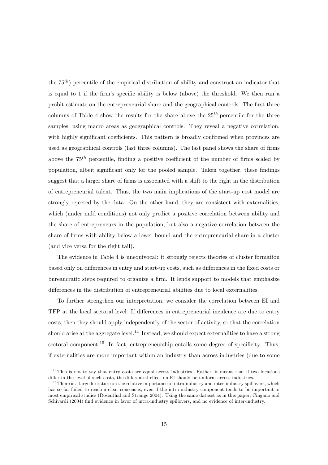the  $75<sup>th</sup>$  percentile of the empirical distribution of ability and construct an indicator that is equal to 1 if the firm's specific ability is below (above) the threshold. We then run a probit estimate on the entrepreneurial share and the geographical controls. The first three columns of Table 4 show the results for the share above the  $25<sup>th</sup>$  percentile for the three samples, using macro areas as geographical controls. They reveal a negative correlation, with highly significant coefficients. This pattern is broadly confirmed when provinces are used as geographical controls (last three columns). The last panel shows the share of firms above the  $75^{th}$  percentile, finding a positive coefficient of the number of firms scaled by population, albeit significant only for the pooled sample. Taken together, these findings suggest that a larger share of firms is associated with a shift to the right in the distribution of entrepreneurial talent. Thus, the two main implications of the start-up cost model are strongly rejected by the data. On the other hand, they are consistent with externalities, which (under mild conditions) not only predict a positive correlation between ability and the share of entrepreneurs in the population, but also a negative correlation between the share of firms with a bility below a lower bound and the entrepreneurial share in a cluster (and vice versa for the right tail).

The evidence in Table 4 is unequivocal: it strongly rejects theories of cluster formation based only on differences in entry and start-up costs, such as differences in the fixed costs or bureaucratic steps required to organize a firm. It lends support to models that emphasize differences in the distribution of entrepreneurial abilities due to local externalities.

To further strengthen our interpretation, we consider the correlation between EI and TFP at the local sectoral level. If differences in entrepreneurial incidence are due to entry costs, then they should apply independently of the sector of activity, so that the correlation should arise at the aggregate level.<sup>14</sup> Instead, we should expect externalities to have a strong sectoral component.<sup>15</sup> In fact, entrepreneurship entails some degree of specificity. Thus, if externalities are more important within an industry than across industries (due to some

 $14$ This is not to say that entry costs are equal across industries. Rather, it means that if two locations differ in the level of such costs, the differential effect on EI should be uniform across industries.

 $15$  There is a large literature on the relative importance of intra-industry and inter-industry spillovers, which has so far failed to reach a clear consensus, even if the intra-industry component tends to be important in most empirical studies (Rosenthal and Strange 2004). Using the same dataset as in this paper, Cingano and Schivardi (2004) find evidence in favor of intra-industry spillovers, and no evidence of inter-industry.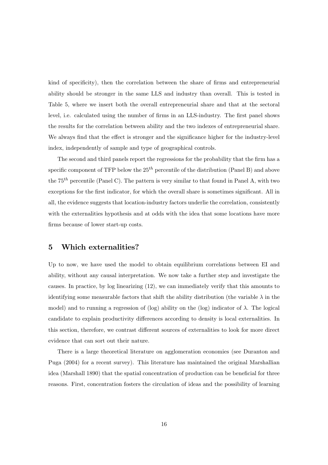kind of specificity), then the correlation between the share of firms and entrepreneurial ability should be stronger in the same LLS and industry than overall. This is tested in Table 5, where we insert both the overall entrepreneurial share and that at the sectoral level, i.e. calculated using the number of firms in an LLS-industry. The first panel shows the results for the correlation between ability and the two indexes of entrepreneurial share. We always find that the effect is stronger and the significance higher for the industry-level index, independently of sample and type of geographical controls.

The second and third panels report the regressions for the probability that the firm has a specific component of TFP below the  $25<sup>th</sup>$  percentile of the distribution (Panel B) and above the  $75^{th}$  percentile (Panel C). The pattern is very similar to that found in Panel A, with two exceptions for the first indicator, for which the overall share is sometimes significant. All in all, the evidence suggests that location-industry factors underlie the correlation, consistently with the externalities hypothesis and at odds with the idea that some locations have more firms because of lower start-up costs.

#### Which externalities?  $\overline{5}$

Up to now, we have used the model to obtain equilibrium correlations between EI and ability, without any causal interpretation. We now take a further step and investigate the causes. In practice, by  $log$  linearizing  $(12)$ , we can immediately verify that this amounts to identifying some measurable factors that shift the ability distribution (the variable  $\lambda$  in the model) and to running a regression of (log) ability on the (log) indicator of  $\lambda$ . The logical candidate to explain productivity differences according to density is local externalities. In this section, therefore, we contrast different sources of externalities to look for more direct evidence that can sort out their nature.

There is a large theoretical literature on agglomeration economies (see Duranton and Puga (2004) for a recent survey). This literature has maintained the original Marshallian idea (Marshall 1890) that the spatial concentration of production can be beneficial for three reasons. First, concentration fosters the circulation of ideas and the possibility of learning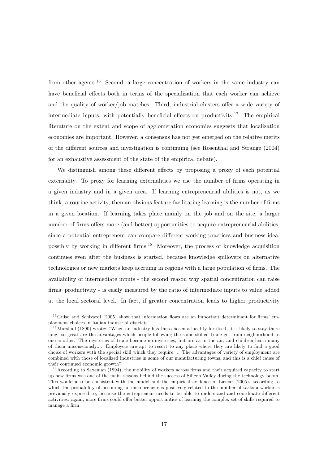from other agents.<sup>16</sup> Second, a large concentration of workers in the same industry can have beneficial effects both in terms of the specialization that each worker can achieve and the quality of worker/job matches. Third, industrial clusters offer a wide variety of intermediate inputs, with potentially beneficial effects on productivity.<sup>17</sup> The empirical literature on the extent and scope of agglomeration economies suggests that localization economies are important. However, a consensus has not yet emerged on the relative merits of the different sources and investigation is continuing (see Rosenthal and Strange (2004) for an exhaustive assessment of the state of the empirical debate).

We distinguish among these different effects by proposing a proxy of each potential externality. To proxy for learning externalities we use the number of firms operating in a given industry and in a given area. If learning entrepreneurial abilities is not, as we think, a routine activity, then an obvious feature facilitating learning is the number of firms in a given location. If learning takes place mainly on the job and on the site, a larger number of firms offers more (and better) opportunities to acquire entrepreneurial abilities, since a potential entrepreneur can compare different working practices and business idea, possibly by working in different firms.<sup>18</sup> Moreover, the process of knowledge acquisition continues even after the business is started, because knowledge spillovers on alternative technologies or new markets keep accruing in regions with a large population of firms. The availability of intermediate inputs - the second reason why spatial concentration can raise firms' productivity - is easily measured by the ratio of intermediate inputs to value added at the local sectoral level. In fact, if greater concentration leads to higher productivity

 $16$  Guiso and Schivardi (2005) show that information flows are an important determinant for firms' employment choices in Italian industrial districts.

<sup>&</sup>lt;sup>17</sup> Marshall (1890) wrote: "When an industry has thus chosen a locality for itself, it is likely to stay there long: so great are the advantages which people following the same skilled trade get from neighborhood to one another. The mysteries of trade become no mysteries; but are as in the air, and children learn many of them unconsciously.... Employers are apt to resort to any place where they are likely to find a good choice of workers with the special skill which they require. .. The advantages of variety of employment are combined with those of localized industries in some of our manufacturing towns, and this is a chief cause of their continued economic growth".

 $18$  According to Saxenian (1994), the mobility of workers across firms and their acquired capacity to start up new firms was one of the main reasons behind the success of Silicon Valley during the technology boom. This would also be consistent with the model and the empirical evidence of Lazear (2005), according to which the probability of becoming an entrepreneur is positively related to the number of tasks a worker is previously exposed to, because the entrepreneur needs to be able to understand and coordinate different activities: again, more firms could offer better opportunities of learning the complex set of skills required to manage a firm.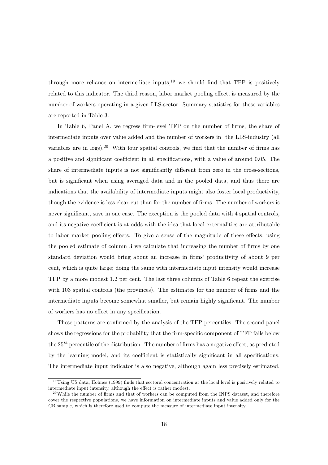through more reliance on intermediate inputs, $19$  we should find that TFP is positively related to this indicator. The third reason, labor market pooling effect, is measured by the number of workers operating in a given LLS-sector. Summary statistics for these variables are reported in Table 3.

In Table 6, Panel A, we regress firm-level TFP on the number of firms, the share of intermediate inputs over value added and the number of workers in the LLS-industry (all variables are in logs).<sup>20</sup> With four spatial controls, we find that the number of firms has a positive and significant coefficient in all specifications, with a value of around 0.05. The share of intermediate inputs is not significantly different from zero in the cross-sections, but is significant when using averaged data and in the pooled data, and thus there are indications that the availability of intermediate inputs might also foster local productivity, though the evidence is less clear-cut than for the number of firms. The number of workers is never significant, save in one case. The exception is the pooled data with 4 spatial controls, and its negative coefficient is at odds with the idea that local externalities are attributable to labor market pooling effects. To give a sense of the magnitude of these effects, using the pooled estimate of column 3 we calculate that increasing the number of firms by one standard deviation would bring about an increase in firms' productivity of about 9 per cent, which is quite large; doing the same with intermediate input intensity would increase TFP by a more modest 1.2 per cent. The last three columns of Table 6 repeat the exercise with 103 spatial controls (the provinces). The estimates for the number of firms and the intermediate inputs become somewhat smaller, but remain highly significant. The number of workers has no effect in any specification.

These patterns are confirmed by the analysis of the TFP percentiles. The second panel shows the regressions for the probability that the firm-specific component of TFP falls below the  $25<sup>th</sup>$  percentile of the distribution. The number of firms has a negative effect, as predicted by the learning model, and its coefficient is statistically significant in all specifications. The intermediate input indicator is also negative, although again less precisely estimated.

 $^{19}$ Using US data, Holmes (1999) finds that sectoral concentration at the local level is positively related to intermediate input intensity, although the effect is rather modest.

 $^{20}$ While the number of firms and that of workers can be computed from the INPS dataset, and therefore cover the respective populations, we have information on intermediate inputs and value added only for the CB sample, which is therefore used to compute the measure of intermediate input intensity.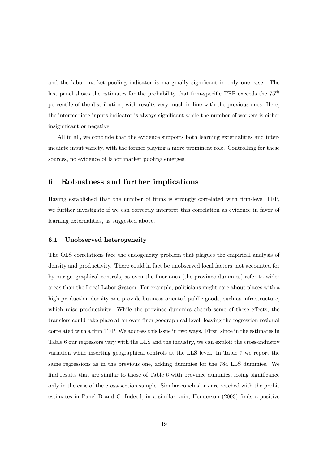and the labor market pooling indicator is marginally significant in only one case. The last panel shows the estimates for the probability that firm-specific TFP exceeds the  $75<sup>th</sup>$ percentile of the distribution, with results very much in line with the previous ones. Here, the intermediate inputs indicator is always significant while the number of workers is either insignificant or negative.

All in all, we conclude that the evidence supports both learning externalities and intermediate input variety, with the former playing a more prominent role. Controlling for these sources, no evidence of labor market pooling emerges.

#### Robustness and further implications 6

Having established that the number of firms is strongly correlated with firm-level TFP, we further investigate if we can correctly interpret this correlation as evidence in favor of learning externalities, as suggested above.

#### $6.1$ Unobserved heterogeneity

The OLS correlations face the endogeneity problem that plagues the empirical analysis of density and productivity. There could in fact be unobserved local factors, not accounted for by our geographical controls, as even the finer ones (the province dummies) refer to wider areas than the Local Labor System. For example, politicians might care about places with a high production density and provide business-oriented public goods, such as infrastructure, which raise productivity. While the province dummies absorb some of these effects, the transfers could take place at an even finer geographical level, leaving the regression residual correlated with a firm TFP. We address this issue in two ways. First, since in the estimates in Table 6 our regressors vary with the LLS and the industry, we can exploit the cross-industry variation while inserting geographical controls at the LLS level. In Table 7 we report the same regressions as in the previous one, adding dummies for the 784 LLS dummies. We find results that are similar to those of Table 6 with province dummies, losing significance only in the case of the cross-section sample. Similar conclusions are reached with the probit estimates in Panel B and C. Indeed, in a similar vain, Henderson (2003) finds a positive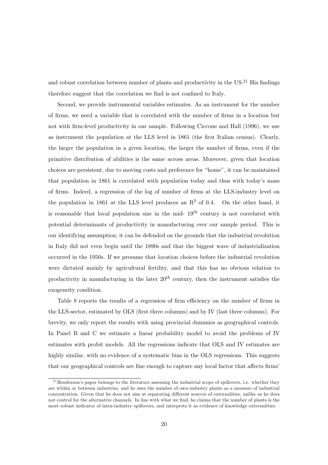and robust correlation between number of plants and productivity in the  $US^{21}$  His findings therefore suggest that the correlation we find is not confined to Italy.

Second, we provide instrumental variables estimates. As an instrument for the number of firms, we need a variable that is correlated with the number of firms in a location but not with firm-level productivity in our sample. Following Ciccone and Hall (1996), we use as instrument the population at the LLS level in 1861 (the first Italian census). Clearly, the larger the population in a given location, the larger the number of firms, even if the primitive distribution of abilities is the same across areas. Moreover, given that location choices are persistent, due to moving costs and preference for "home", it can be maintained that population in 1861 is correlated with population today and thus with today's mass of firms. Indeed, a regression of the log of number of firms at the LLS-industry level on the population in 1861 at the LLS level produces an  $\mathbb{R}^2$  of 0.4. On the other hand, it is reasonable that local population size in the mid-  $19^{th}$  century is not correlated with potential determinants of productivity in manufacturing over our sample period. This is our identifying assumption; it can be defended on the grounds that the industrial revolution in Italy did not even begin until the 1890s and that the biggest wave of industrialization occurred in the 1950s. If we presume that location choices before the industrial revolution were dictated mainly by agricultural fertility, and that this has no obvious relation to productivity in manufacturing in the later  $20^{th}$  century, then the instrument satisfies the exogeneity condition.

Table 8 reports the results of a regression of firm efficiency on the number of firms in the LLS-sector, estimated by OLS (first three columns) and by IV (last three columns). For brevity, we only report the results with using provincial dummies as geographical controls. In Panel B and C we estimate a linear probability model to avoid the problems of IV estimates with probit models. All the regressions indicate that OLS and IV estimates are highly similar, with no evidence of a systematic bias in the OLS regressions. This suggests that our geographical controls are fine enough to capture any local factor that affects firms'

 $21$  Henderson's paper belongs to the literature assessing the industrial scope of spillovers, i.e. whether they are within or between industries, and he uses the number of own-industry plants as a measure of industrial concentration. Given that he does not aim at separating different sources of externalities, unlike us he does not control for the alternative channels. In line with what we find, he claims that the number of plants is the most robust indicator of intra-industry spillovers, and interprets it as evidence of knowledge externalities.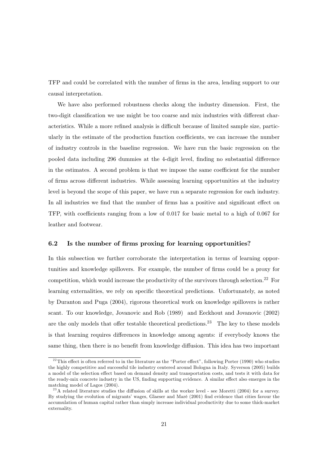TFP and could be correlated with the number of firms in the area, lending support to our causal interpretation.

We have also performed robustness checks along the industry dimension. First, the two-digit classification we use might be too coarse and mix industries with different characteristics. While a more refined analysis is difficult because of limited sample size, particularly in the estimate of the production function coefficients, we can increase the number of industry controls in the baseline regression. We have run the basic regression on the pooled data including 296 dummies at the 4-digit level, finding no substantial difference in the estimates. A second problem is that we impose the same coefficient for the number of firms across different industries. While assessing learning opportunities at the industry level is beyond the scope of this paper, we have run a separate regression for each industry. In all industries we find that the number of firms has a positive and significant effect on TFP, with coefficients ranging from a low of 0.017 for basic metal to a high of 0.067 for leather and footwear.

#### $6.2$ Is the number of firms proxing for learning opportunities?

In this subsection we further corroborate the interpretation in terms of learning opportunities and knowledge spillovers. For example, the number of firms could be a proxy for competition, which would increase the productivity of the survivors through selection.<sup>22</sup> For learning externalities, we rely on specific theoretical predictions. Unfortunately, as noted by Duranton and Puga (2004), rigorous theoretical work on knowledge spillovers is rather scant. To our knowledge, Jovanovic and Rob (1989) and Eeckhout and Jovanovic (2002) are the only models that offer testable theoretical predictions.<sup>23</sup> The key to these models is that learning requires differences in knowledge among agents: if everybody knows the same thing, then there is no benefit from knowledge diffusion. This idea has two important

 $^{22}$ This effect is often referred to in the literature as the "Porter effect", following Porter (1990) who studies the highly competitive and successful tile industry centered around Bologna in Italy. Syverson (2005) builds a model of the selection effect based on demand density and transportation costs, and tests it with data for the ready-mix concrete industry in the US, finding supporting evidence. A similar effect also emerges in the matching model of Lagos (2004).

<sup>&</sup>lt;sup>23</sup>A related literature studies the diffusion of skills at the worker level - see Moretti (2004) for a survey. By studying the evolution of migrants' wages, Glaeser and Maré (2001) find evidence that cities favour the accumulation of human capital rather than simply increase individual productivity due to some thick-market externality.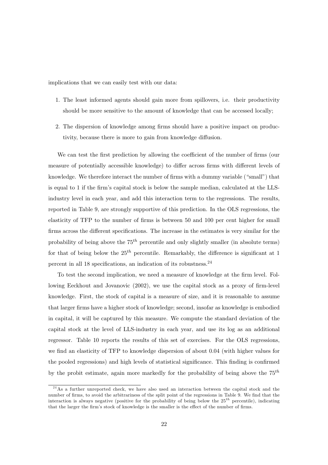implications that we can easily test with our data:

- 1. The least informed agents should gain more from spillovers, i.e. their productivity should be more sensitive to the amount of knowledge that can be accessed locally;
- 2. The dispersion of knowledge among firms should have a positive impact on productivity, because there is more to gain from knowledge diffusion.

We can test the first prediction by allowing the coefficient of the number of firms (our measure of potentially accessible knowledge) to differ across firms with different levels of knowledge. We therefore interact the number of firms with a dummy variable ("small") that is equal to 1 if the firm's capital stock is below the sample median, calculated at the LLSindustry level in each year, and add this interaction term to the regressions. The results, reported in Table 9, are strongly supportive of this prediction. In the OLS regressions, the elasticity of TFP to the number of firms is between 50 and 100 per cent higher for small firms across the different specifications. The increase in the estimates is very similar for the probability of being above the  $75^{th}$  percentile and only slightly smaller (in absolute terms) for that of being below the  $25^{th}$  percentile. Remarkably, the difference is significant at 1 percent in all 18 specifications, an indication of its robustness.  $24$ 

To test the second implication, we need a measure of knowledge at the firm level. Following Eeckhout and Jovanovic (2002), we use the capital stock as a proxy of firm-level knowledge. First, the stock of capital is a measure of size, and it is reasonable to assume that larger firms have a higher stock of knowledge; second, insofar as knowledge is embodied in capital, it will be captured by this measure. We compute the standard deviation of the capital stock at the level of LLS-industry in each year, and use its log as an additional regressor. Table 10 reports the results of this set of exercises. For the OLS regressions, we find an elasticity of TFP to knowledge dispersion of about 0.04 (with higher values for the pooled regressions) and high levels of statistical significance. This finding is confirmed by the probit estimate, again more markedly for the probability of being above the  $75^{th}$ 

<sup>&</sup>lt;sup>24</sup>As a further unreported check, we have also used an interaction between the capital stock and the number of firms, to avoid the arbitrariness of the split point of the regressions in Table 9. We find that the interaction is always negative (positive for the probability of being below the  $25^{th}$  percentile), indicating that the larger the firm's stock of knowledge is the smaller is the effect of the number of firms.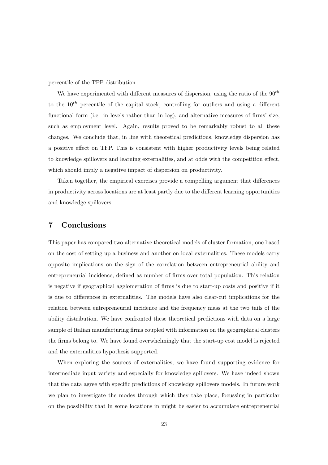percentile of the TFP distribution.

We have experimented with different measures of dispersion, using the ratio of the  $90^{th}$ to the  $10^{th}$  percentile of the capital stock, controlling for outliers and using a different functional form (i.e. in levels rather than in log), and alternative measures of firms' size, such as employment level. Again, results proved to be remarkably robust to all these changes. We conclude that, in line with theoretical predictions, knowledge dispersion has a positive effect on TFP. This is consistent with higher productivity levels being related to knowledge spillovers and learning externalities, and at odds with the competition effect, which should imply a negative impact of dispersion on productivity.

Taken together, the empirical exercises provide a compelling argument that differences in productivity across locations are at least partly due to the different learning opportunities and knowledge spillovers.

#### 7 Conclusions

This paper has compared two alternative theoretical models of cluster formation, one based on the cost of setting up a business and another on local externalities. These models carry opposite implications on the sign of the correlation between entrepreneurial ability and entrepreneurial incidence, defined as number of firms over total population. This relation is negative if geographical agglomeration of firms is due to start-up costs and positive if it is due to differences in externalities. The models have also clear-cut implications for the relation between entrepreneurial incidence and the frequency mass at the two tails of the ability distribution. We have confronted these theoretical predictions with data on a large sample of Italian manufacturing firms coupled with information on the geographical clusters the firms belong to. We have found overwhelmingly that the start-up cost model is rejected and the externalities hypothesis supported.

When exploring the sources of externalities, we have found supporting evidence for intermediate input variety and especially for knowledge spillovers. We have indeed shown that the data agree with specific predictions of knowledge spillovers models. In future work we plan to investigate the modes through which they take place, focussing in particular on the possibility that in some locations in might be easier to accumulate entrepreneurial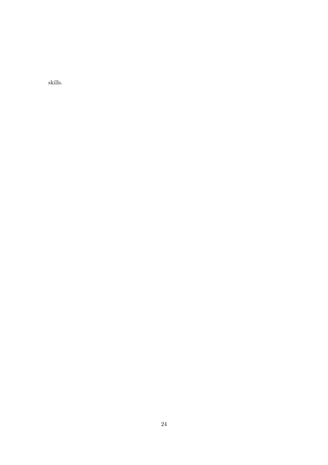skills.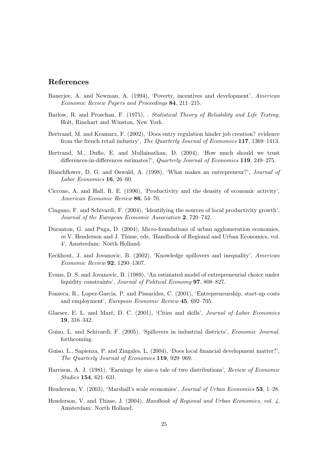# References

- Banerjee, A. and Newman, A. (1994), 'Poverty, incentives and development', American Economic Review Papers and Proceedings 84, 211-215.
- Barlow, R. and Proschan, F. (1975), . Statistical Theory of Reliability and Life Testing, Holt, Rinehart and Winston, New York.
- Bertrand, M. and Kramarz, F. (2002), 'Does entry regulation hinder job creation? evidence from the french retail industry', The Quarterly Journal of Economics 117, 1369-1413.
- Bertrand, M., Duflo, E. and Mullainathan, D. (2004), 'How much should we trust differences-in-differences estimates?', Quarterly Journal of Economics 119, 249-275.
- Blanchflower, D. G. and Oswald, A. (1998), 'What makes an entrepreneur?', Journal of Labor Economics 16, 26-60.
- Ciccone, A. and Hall, R. E. (1996), 'Productivity and the density of economic activity', American Economic Review 86, 54-70.
- Cingano, F. and Schivardi, F. (2004), 'Identifying the sources of local productivity growth', Journal of the European Economic Association 2, 720–742.
- Duranton, G. and Puga, D. (2004), Micro-foundations of urban agglomeration economies, in V. Henderson and J. Thisse, eds, 'Handbook of Regional and Urban Economics, vol. 4', Amsterdam: North Holland.
- Eeckhout, J. and Jovanovic, B. (2002), 'Knowledge spillovers and inequality', American Economic Review 92, 1290-1307.
- Evans, D. S. and Jovanovic, B. (1989), 'An estimated model of entrepreneurial choice under liquidity constraints', Journal of Political Economy 97, 808-827.
- Fonseca, R., Lopez-Garcia, P. and Pissarides, C. (2001), 'Entrepreneurship, start-up costs and employment', European Economic Review 45, 692-705.
- Glaeser, E. L. and Maré, D. C. (2001), 'Cities and skills', *Journal of Labor Economics*  $19, 316 - 342.$
- Guiso, L. and Schivardi, F. (2005), 'Spillovers in industrial districts', *Economic Journal.* forthcoming.
- Guiso, L., Sapienza, P. and Zingales, L. (2004), 'Does local financial development matter?', The Quarterly Journal of Economics 119, 929-969.
- Harrison, A. J. (1981), 'Earnings by size-a tale of two distributions', Review of Economic *Studies* **154**, 621-631.
- Henderson, V. (2003), 'Marshall's scale economies', Journal of Urban Economics 53, 1–28.
- Henderson, V. and Thisse, J. (2004), Handbook of Regional and Urban Economics, vol.  $\lambda$ , Amsterdam: North Holland.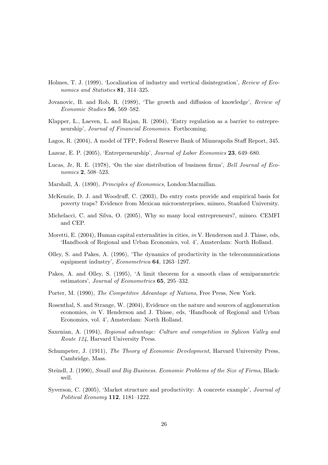- Holmes, T. J. (1999), 'Localization of industry and vertical disintegration', Review of Economics and Statistics 81, 314-325.
- Jovanovic, B. and Rob, R. (1989), 'The growth and diffusion of knowledge', Review of Economic Studies 56, 569-582.
- Klapper, L., Laeven, L. and Rajan, R. (2004), 'Entry regulation as a barrier to entrepreneurship', Journal of Financial Economics. Forthcoming.
- Lagos, R. (2004), A model of TFP, Federal Reserve Bank of Minneapolis Staff Report, 345.
- Lazear, E. P. (2005), 'Entrepreneurship', Journal of Labor Economics 23, 649–680.
- Lucas, Jr, R. E. (1978), 'On the size distribution of business firms', Bell Journal of Economics 2, 508-523.
- Marshall, A. (1890), Principles of Economics, London: Macmillan.
- McKenzie, D. J. and Woodruff, C. (2003), Do entry costs provide and empirical basis for poverty traps? Evidence from Mexican microenterprises, mimeo, Stanford University.
- Michelacci, C. and Silva, O. (2005), Why so many local entrepreneurs?, mimeo. CEMFI and CEP.
- Moretti, E. (2004), Human capital externalities in cities, in V. Henderson and J. Thisse, eds, 'Handbook of Regional and Urban Economics, vol. 4', Amsterdam: North Holland.
- Olley, S. and Pakes, A. (1996), 'The dynamics of productivity in the telecommunications equipment industry', *Econometrica* 64, 1263–1297.
- Pakes, A. and Olley, S. (1995), 'A limit theorem for a smooth class of semiparametric estimators', Journal of Econometrics 65, 295-332.
- Porter, M. (1990), The Competitive Advantage of Nations, Free Press, New York.
- Rosenthal, S. and Strange, W. (2004), Evidence on the nature and sources of agglomeration economies, in V. Henderson and J. Thisse, eds, 'Handbook of Regional and Urban Economics, vol. 4', Amsterdam: North Holland.
- Saxenian, A. (1994), Regional advantage: Culture and competition in Sylicon Valley and *Route 124*, Harvard University Press.
- Schumpeter, J. (1911), The Theory of Economic Development, Harvard University Press, Cambridge, Mass.
- Steindl, J. (1990), Small and Big Business. Economic Problems of the Size of Firms, Blackwell.
- Syverson, C. (2005), 'Market structure and productivity: A concrete example', *Journal of* Political Economy 112, 1181-1222.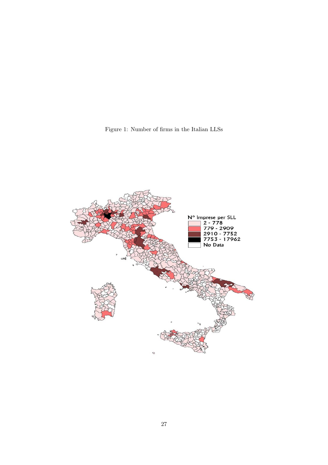Figure 1: Number of firms in the Italian LLSs

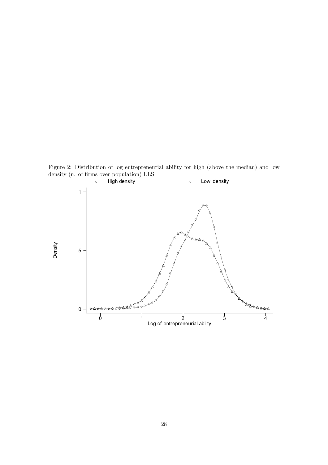- Low density - High density  $1 -$ Density  $.5\,$ <del>44465</del>6 822  $\pmb{0}$  $\frac{1}{2}$  Log of entrepreneurial ability  $\overline{0}$  $\frac{1}{3}$  $\frac{1}{1}$  $\frac{1}{4}$ 

Figure 2: Distribution of log entrepreneurial ability for high (above the median) and low density (n. of firms over population) LLS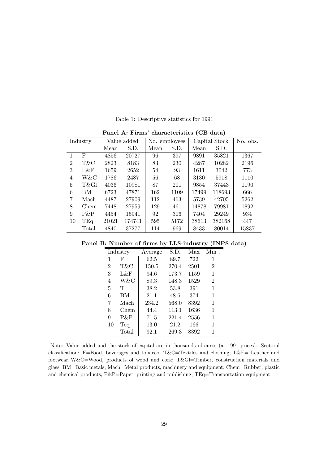|                | Panel A: Firms' characteristics (CB data) |       |             |               |      |               |        |          |  |  |
|----------------|-------------------------------------------|-------|-------------|---------------|------|---------------|--------|----------|--|--|
|                | Industry                                  |       | Value added | No. employees |      | Capital Stock |        | No. obs. |  |  |
|                |                                           | Mean  | S.D.        | Mean          | S.D. | Mean          | S.D.   |          |  |  |
|                | $\mathbf F$                               | 4856  | 20727       | 96            | 397  | 9891          | 35821  | 1367     |  |  |
| $\overline{2}$ | T&C                                       | 2823  | 8183        | 83            | 230  | 4287          | 10282  | 2196     |  |  |
| 3              | L&F                                       | 1659  | 2652        | 54            | 93   | 1611          | 3042   | 773      |  |  |
| 4              | W&C                                       | 1786  | 2487        | 56            | 68   | 3130          | 5918   | 1110     |  |  |
| 5              | T&Gl                                      | 4036  | 10981       | 87            | 201  | 9854          | 37443  | 1190     |  |  |
| 6              | BM                                        | 6723  | 47871       | 162           | 1109 | 17499         | 118693 | 666      |  |  |
| 7              | Mach                                      | 4487  | 27909       | 112           | 463  | 5739          | 42705  | 5262     |  |  |
| 8              | Chem                                      | 7448  | 27959       | 129           | 461  | 14878         | 79981  | 1892     |  |  |
| 9              | $P\&P$                                    | 4454  | 15941       | 92            | 306  | 7404          | 29249  | 934      |  |  |
| 10             | TEq                                       | 21021 | 174741      | 595           | 5172 | 38613         | 382168 | 447      |  |  |
|                | Total                                     | 4840  | 37277       | 114           | 969  | 8433          | 80014  | 15837    |  |  |

Table 1: Descriptive statistics for 1991

 $\mathbf{1}$   $\mathbf{A}$   $\mathbf{E}$ :  $\ddot{\cdot}$  $\mathbf{r}$  extentation  $(\mathbf{C}\mathbf{D})$  detail  $\mathbf{r}$ 

Panel B: Number of firms by LLS-industry (INPS data)

|    | Industry | Average | S.D.  | Max  | $Min$ .        |
|----|----------|---------|-------|------|----------------|
| 1  | F        | 62.5    | 89.7  | 722  | 1              |
| 2  | T&C      | 150.5   | 270.4 | 2501 | $\overline{2}$ |
| 3  | L&F      | 94.6    | 173.7 | 1159 | 1              |
| 4  | W&C      | 89.3    | 148.3 | 1529 | $\overline{2}$ |
| 5  | т        | 38.2    | 53.8  | 391  | 1              |
| 6  | BМ       | 21.1    | 48.6  | 374  | 1              |
| 7  | Mach     | 234.2   | 568.0 | 8392 | 1              |
| 8  | Chem     | 44.4    | 113.1 | 1636 | 1              |
| 9  | P&P      | 71.5    | 221.4 | 2556 | 1              |
| 10 | Teq      | 13.0    | 21.2  | 166  | 1              |
|    | Total    | 92.1    | 269.3 | 8392 | 1              |

Note: Value added and the stock of capital are in thousands of euros (at 1991 prices). Sectoral classification: F=Food, beverages and tobacco; T&C=Textiles and clothing; L&F= Leather and footwear W&C=Wood, products of wood and cork; T&Gl=Timber, construction materials and glass; BM=Basic metals; Mach=Metal products, machinery and equipment; Chem=Rubber, plastic and chemical products; P&P=Paper, printing and publishing; TEq=Transportation equipment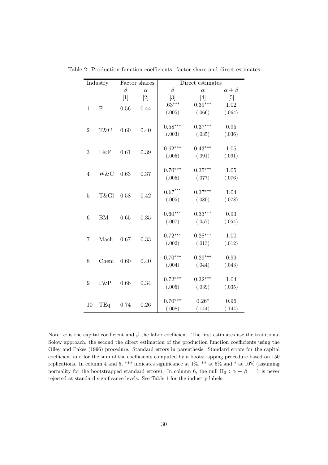|                | Industry    |                | Factor shares    |                       | Direct estimates |                  |
|----------------|-------------|----------------|------------------|-----------------------|------------------|------------------|
|                |             | β              | $\alpha$         | $\beta$               | $\alpha$         | $\alpha + \beta$ |
|                |             | $\overline{1}$ | $\overline{[2]}$ | $\overline{3}$        | [4]              | $\overline{[5]}$ |
|                | $\mathbf F$ |                | 0.44             | $.63***$              | $0.39***$        | 1.02             |
| $\mathbf 1$    |             | 0.56           |                  | (.005)                | (.066)           | (.064)           |
|                |             |                |                  | $0.58***$             | $0.37***$        | 0.95             |
| $\overline{2}$ | T&C         | 0.60           | 0.40             | (.003)                | (.035)           | (.036)           |
|                |             |                |                  | $0.62***$             | $0.43***$        | $1.05\,$         |
| 3              | L&F         | 0.61           | 0.39             | (.005)                | (.091)           | (.091)           |
|                |             |                |                  | $0.70***$             | $0.35***$        | 1.05             |
| $\overline{4}$ | W&C         | 0.63           | 0.37             | (.005)                | (.077)           | (.076)           |
|                |             |                |                  | $0.67^{\ast\ast\ast}$ | $0.37***$        | 1.04             |
| $\overline{5}$ | T&Gl        | 0.58           | 0.42             | (.005)                | (.080)           | (.078)           |
|                |             |                |                  | $0.60***$             | $0.33***$        | 0.93             |
| $\,6$          | ${\rm BM}$  | 0.65           | 0.35             | (.007)                | (.057)           | (.054)           |
|                |             |                |                  | $0.72***$             | $0.28***$        | 1.00             |
| 7              | Mach        | 0.67           | 0.33             | (.002)                | (.013)           | (.012)           |
|                |             |                |                  | $0.70***$             | $0.29***$        | 0.99             |
| 8              | Chem        | 0.60           | 0.40             | (.004)                | (.044)           | (.043)           |
|                |             |                |                  |                       |                  |                  |
| 9              | P&P         | 0.66           | 0.34             | $0.72***$             | $0.32***$        | 1.04             |
|                |             |                |                  | (.005)                | (.039)           | (.035)           |
|                |             |                |                  | $0.70***$             | $0.26*$          | 0.96             |
| 10             | TEq         | 0.74           | 0.26             | (.008)                | (.144)           | (.144)           |

Table 2: Production function coefficients: factor share and direct estimates

Note:  $\alpha$  is the capital coefficient and  $\beta$  the labor coefficient. The first estimates use the traditional Solow approach, the second the direct estimation of the production function coefficients using the Olley and Pakes (1996) procedure. Standard errors in parenthesis. Standard errors for the capital coefficient and for the sum of the coefficients computed by a bootstrapping procedure based on  $150\,$ replications. In column 4 and 5, \*\*\* indicates significance at 1%, \*\* at 5% and \* at 10% (assuming normality for the bootstrapped standard errors). In column 6, the null  $H_0: \alpha + \beta = 1$  is never rejected at standard significance levels. See Table 1 for the industry labels.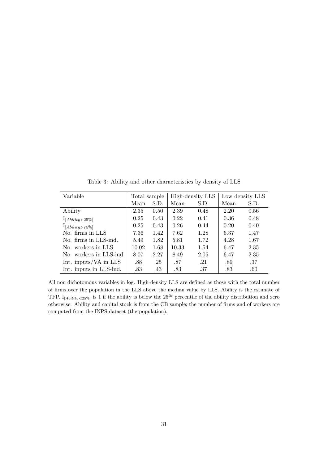| Variable                          | Total sample |      | High-density LLS |      | Low density LLS |      |
|-----------------------------------|--------------|------|------------------|------|-----------------|------|
|                                   | Mean         | S.D. | Mean             | S.D. | Mean            | S.D. |
| Ability                           | 2.35         | 0.50 | 2.39             | 0.48 | 2.20            | 0.56 |
| $1_{[A{\textsubscript{}x}<25\%]}$ | 0.25         | 0.43 | 0.22             | 0.41 | 0.36            | 0.48 |
| $1_{[A{\textsubscript{}y}>75\%]}$ | 0.25         | 0.43 | 0.26             | 0.44 | 0.20            | 0.40 |
| No. firms in LLS                  | 7.36         | 1.42 | 7.62             | 1.28 | 6.37            | 1.47 |
| No. firms in LLS-ind.             | 5.49         | 1.82 | 5.81             | 1.72 | 4.28            | 1.67 |
| No. workers in LLS                | 10.02        | 1.68 | 10.33            | 1.54 | 6.47            | 2.35 |
| No. workers in LLS-ind.           | 8.07         | 2.27 | 8.49             | 2.05 | 6.47            | 2.35 |
| Int. inputs/VA in LLS             | .88          | .25  | .87              | .21  | .89             | .37  |
| Int. inputs in LLS-ind.           | .83          | .43  | .83              | .37  | .83             | .60  |

Table 3: Ability and other characteristics by density of LLS

All non dichotomous variables in log. High-density LLS are defined as those with the total number of firms over the population in the LLS above the median value by LLS. Ability is the estimate of TFP. I<sub>[Ability</sub><25%] is 1 if the ability is below the  $25^{th}$  percentile of the ability distribution and zero otherwise. Ability and capital stock is from the CB sample; the number of firms and of workers are computed from the INPS dataset (the population).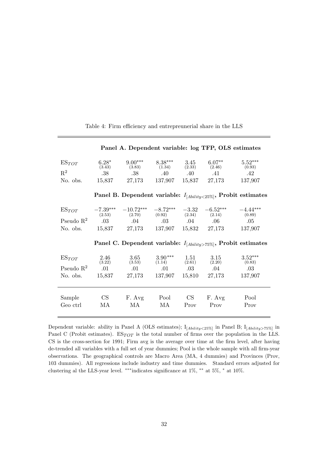| $ES_{TOT}$<br>$R^2$<br>No. obs.                 | $6.28*$<br>(3.43)<br>.38 <sub>1</sub><br>15,837 | $9.00***$<br>(3.83)<br>.38<br>27,173          | $8.38***$<br>(1.34)<br>$.40\,$<br>137,907 | 3.45<br>(2.33)<br>$.40\,$<br>15,837 | $6.07**$<br>(2.46)<br>.41<br>27,173          | $5.52***$<br>(0.93)<br>.42<br>137,907                                |
|-------------------------------------------------|-------------------------------------------------|-----------------------------------------------|-------------------------------------------|-------------------------------------|----------------------------------------------|----------------------------------------------------------------------|
|                                                 |                                                 |                                               |                                           |                                     |                                              | Panel B. Dependent variable: $I_{[Ability<25\%]}$ , Probit estimates |
| $ES_{TOT}$<br>Pseudo $\mathbb{R}^2$<br>No. obs. | $-7.39***$<br>(2.53)<br>.03                     | $-10.72***$<br>(2.70)<br>.04<br>15,837 27,173 | $-8.72***$<br>(0.92)<br>.03<br>137,907    | $-3.32$<br>(2.34)<br>$.04\,$        | $-6.52***$<br>(2.14)<br>.06<br>15,832 27,173 | $-4.44***$<br>(0.89)<br>.05<br>137,907                               |
|                                                 |                                                 |                                               |                                           |                                     |                                              |                                                                      |
|                                                 |                                                 |                                               |                                           |                                     |                                              | Panel C. Dependent variable: $I_{[Ability>75\%]}$ , Probit estimates |
| $ES_{TOT}$<br>Pseudo $\mathbb{R}^2$<br>No. obs. | 2.46<br>(3.22)<br>.01<br>15,837                 | 3.65<br>(3.53)<br>.01<br>27,173               | $3.90***$<br>(1.14)<br>.01<br>137,907     | 1.51<br>(2.61)<br>$.03\,$<br>15,810 | 3.15<br>(2.20)<br>.04<br>27,173              | $3.52***$<br>(0.83)<br>$.03\,$<br>137,907                            |

Table 4: Firm efficiency and entrepreunerial share in the LLS

Dependent variable: ability in Panel A (OLS estimates);  $I_{[Ability < 25\%]}$  in Panel B;  $I_{[Ability > 75\%]}$  in Panel C (Probit estimates).  $ES_{TOT}$  is the total number of firms over the population in the LLS. CS is the cross-section for 1991; Firm avg is the average over time at the firm level, after having de-trended all variables with a full set of year dummies; Pool is the whole sample with all firm-year observations. The geographical controls are Macro Area (MA, 4 dummies) and Provinces (Prov, 103 dummies). All regressions include industry and time dummies. Standard errors adjusted for clustering al the LLS-year level. \*\*\*indicates significance at 1%, \*\* at 5%, \* at 10%.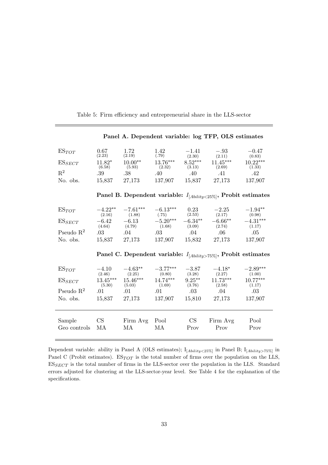| $ES_{TOT}$            | 0.67<br>(2.23)       | 1.72<br>(2.19)       | 1.42<br>(.79)        | $-1.41$<br>(2.30)   | $-.93$<br>(2.11)                                                     | $-0.47$<br>(0.83)    |
|-----------------------|----------------------|----------------------|----------------------|---------------------|----------------------------------------------------------------------|----------------------|
| $ES_{SECT}$           | $11.82*$             | $10.00**$            | 13.76***             | $8.52***$           | $11.45***$                                                           | $10.22***$           |
| $\mathbf{R}^2$        | (6.58)<br>.39        | (5.93)<br>.38        | (2.32)<br>.40        | (3.13)<br>.40       | (2.69)<br>.41                                                        | (1.33)<br>.42        |
| No. obs.              | 15,837               | 27,173               | 137,907              | 15,837              | 27,173                                                               | 137,907              |
|                       |                      |                      |                      |                     | Panel B. Dependent variable: $I_{[Ability<25\%]}$ , Probit estimates |                      |
| $ES_{TOT}$            | $-4.22**$<br>(2.16)  | $-7.61***$<br>(1.88) | $-6.13***$<br>(.75)  | 0.23<br>(2.53)      | $-2.25$<br>(2.17)                                                    | $-1.94**$<br>(0.98)  |
| $ES_{SECT}$           | $-6.42$<br>(4.64)    | $-6.13$<br>(4.79)    | $-5.20***$<br>(1.68) | $-6.34**$<br>(3.09) | $-6.66**$<br>(2.74)                                                  | $-4.31***$<br>(1.17) |
| Pseudo $R^2$          | .03                  | .04                  | .03                  | $.04\,$             | $.06\,$                                                              | .05                  |
| No. obs.              |                      | 15,837 27,173        | 137,907              | 15,832              | 27,173                                                               | 137,907              |
|                       |                      |                      |                      |                     | Panel C. Dependent variable: $I_{[Ability>75\%]}$ , Probit estimates |                      |
| $ES_{TOT}$            | $-4.10$<br>(2.46)    | $-4.63**$<br>(2.25)  | $-3.77***$<br>(0.80) | $-3.87$<br>(3.28)   | $-4.18*$<br>(2.27)                                                   | $-2.89***$<br>(1.00) |
| $ES_{SECT}$           | $13.45***$<br>(5.30) | $15.46***$<br>(5.03) | $14.74***$<br>(1.69) | $9.25***$<br>(3.76) | $11.73***$<br>(2.58)                                                 | $10.77***$<br>(1.17) |
| Pseudo $\mathbb{R}^2$ | .01                  | .01                  | .01                  | $.03\,$             | .04                                                                  | .03                  |
| No. obs.              | 15,837               | 27,173               | 137,907              | 15,810              | 27,173                                                               | 137,907              |
|                       |                      |                      |                      |                     |                                                                      |                      |
| Sample                | CS                   | Firm Avg             | Pool                 | CS                  | Firm Avg                                                             | Pool                 |
| Geo controls          | MA                   | МA                   | MA                   | Prov                | Prov                                                                 | Prov                 |

Table 5: Firm efficiency and entrepreneurial share in the LLS-sector

Dependent variable: ability in Panel A (OLS estimates);  $I_{[Ability<25\%]}$  in Panel B;  $I_{[Ability>75\%]}$  in Panel C (Probit estimates).  $ES_{TOT}$  is the total number of firms over the population on the LLS,  $\mathrm{ES}_{SECT}$  is the total number of firms in the LLS-sector over the population in the LLS. Standard errors adjusted for clustering at the LLS-sector-year level. See Table 4 for the explanation of the specifications.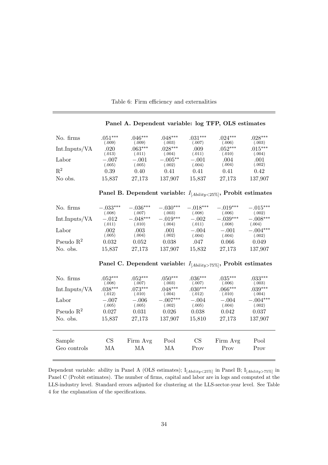| No. firms      | $.051***$ | $046***$  | $.048***$ | $031***$ | $.024***$ | $.028***$ |
|----------------|-----------|-----------|-----------|----------|-----------|-----------|
|                | 009)      | (.009)    | 003)      | (0.007)  | (.006)    | (.003)    |
| Int.Inputs/VA  | .020      | $.063***$ | $028***$  | .009     | $.052***$ | $.015***$ |
|                | (0.013)   | (.011)    | 0.004)    | (.011)   | (.010)    | (.004)    |
| Labor          | $-.007$   | $-.001$   | $-.005**$ | $-.001$  | .004      | .001      |
|                | 005)      | (.005)    | 0.002)    | (.004)   | (.004)    | (.002)    |
| $\mathbf{R}^2$ | 0.39      | 0.40      | 0.41      | 0.41     | 0.41      | 0.42      |
| No obs.        | 15,837    | 27,173    | 137,907   | 15,837   | 27,173    | 137,907   |

| Panel B. Dependent variable: $I_{[Ability < 25\%]}$ , Probit estimates |  |  |  |
|------------------------------------------------------------------------|--|--|--|
|------------------------------------------------------------------------|--|--|--|

| No. firms             | $-.033***$     | $-.036***$     | $-.030***$     | $-.018***$        | $-.019***$        | $-.015***$           |
|-----------------------|----------------|----------------|----------------|-------------------|-------------------|----------------------|
|                       | (.008)         | (.007)         | (.003)         | (.008)            | (.006)            | (.002)               |
| Int.Inputs/VA         | $-.012$        | $-.048***$     | $-.019***$     | $-.002$           | $-.039***$        | $-.008***$           |
|                       | (.011)         | (.010)         | (.004)         | (.011)            | (.008)            | (.004)               |
| Labor                 | .002<br>(.005) | .003<br>(.004) | .001<br>(.002) | $-.004$<br>(.004) | $-.001$<br>(.004) | $-.004***$<br>(.002) |
| Pseudo $\mathbb{R}^2$ | 0.032          | 0.052          | 0.038          | .047              | 0.066             | 0.049                |
| No. obs.              | 15,837         | 27,173         | 137,907        | 15,832            | 27,173            | 137,907              |

Panel C. Dependent variable:  $I_{[Ability>75\%]}$ , Probit estimates

| No. firms     | $.052***$ | $.052***$ | $.050***$  | $.036***$ | $.035***$ | $.033***$  |
|---------------|-----------|-----------|------------|-----------|-----------|------------|
|               | (.008)    | (.007)    | (.003)     | (.007)    | (.006)    | (.003)     |
| Int.Inputs/VA | $.038***$ | $.073***$ | $.048***$  | $.030***$ | $.066***$ | $.039***$  |
|               | (.012)    | (.010)    | (.004)     | (.012)    | (.010)    | (.004)     |
| Labor         | $-.007$   | $-.006$   | $-.007***$ | $-.004$   | $-.004$   | $-.004***$ |
|               | (.005)    | (.005)    | (.002)     | (.005)    | (.004)    | (.002)     |
| Pseudo $R^2$  | 0.027     | 0.031     | 0.026      | 0.038     | 0.042     | 0.037      |
| No. obs.      | 15,837    | 27,173    | 137,907    | 15,810    | 27,173    | 137,907    |
| Sample        | CS        | Firm Avg  | Pool       | <b>CS</b> | Firm Avg  | Pool       |
| Geo controls  | МA        | МA        | МA         | Prov      | Prov      | Prov       |

Dependent variable: ability in Panel A (OLS estimates);  $I_{[Ability < 25\%]}$  in Panel B;  $I_{[Ability > 75\%]}$  in Panel C (Probit estimates). The number of firms, capital and labor are in logs and computed at the LLS-industry level. Standard errors adjusted for clustering at the LLS-sector-year level. See Table 4 for the explanation of the specifications.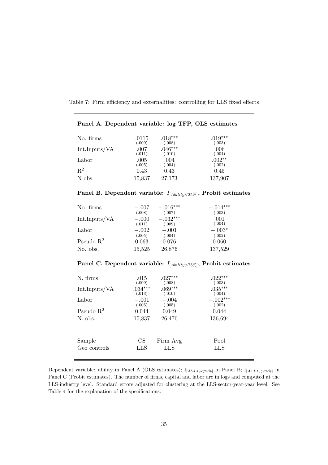Table 7: Firm efficiency and externalities: controlling for LLS fixed effects

| No. firms      | .0115  | $.018***$ | $.019***$ |
|----------------|--------|-----------|-----------|
|                | (.009) | (.008)    | (.003)    |
| Int.Inputs/VA  | .007   | $.046***$ | .006      |
|                | (.011) | (.010)    | (.004)    |
| Labor          | .005   | .004      | $.002**$  |
|                | (.005) | (.004)    | (.002)    |
| $\mathbf{R}^2$ | 0.43   | 0.43      | 0.45      |
| N obs.         | 15,837 | 27,173    | 137,907   |

# $\bold{ Panel~B.}$  Dependent variable:  $I_{[Ability < 25\%]}$ ,  $\bold{Problems}$  estimates

| No. firms     | $-.007$           | $-.016***$           | $-.014***$      |
|---------------|-------------------|----------------------|-----------------|
|               | (.008)            | (.007)               | (.003)          |
| Int.Inputs/VA | $-.000$<br>(.011) | $-.032***$<br>(.009) | .001<br>(.004)  |
| Labor         | $-.002$           | $-.001$              | $-.003*$        |
| Pseudo $R^2$  | (.005)<br>0.063   | (.004)<br>0.076      | (.002)<br>0.060 |
| No. obs.      | 15,525            | 26,876               | 137,529         |

# $\rm {Panel~C.~Dependent~variable:}$   $\it I_{[Ability>75\%]} ,$   $\rm {Probit~estimates}$

| N. firms              | .015      | $.027***$ | $.022***$  |
|-----------------------|-----------|-----------|------------|
|                       | (.009)    | (.008)    | (.003)     |
| Int.Inputs/VA         | $.034***$ | $.069***$ | $.035***$  |
|                       | (.013)    | (.010)    | (.004)     |
| Labor                 | $-.001$   | $-.004$   | $-.002***$ |
|                       | (.005)    | (.005)    | (.002)     |
| Pseudo $\mathbb{R}^2$ | 0.044     | 0.049     | 0.044      |
| N. obs.               | 15,837    | 26,476    | 136,694    |
| Sample                | <b>CS</b> | Firm Avg  | Pool       |
| Geo controls          | LLS       | LLS       | LLS        |
|                       |           |           |            |

Dependent variable: ability in Panel A (OLS estimates);  $I_{[Ability<25\%]}$  in Panel B;  $I_{[Ability>75\%]}$  in Panel C (Probit estimates). The number of firms, capital and labor are in logs and computed at the LLS-industry level. Standard errors adjusted for clustering at the LLS-sector-year-year level. See Table 4 for the explanation of the specifications.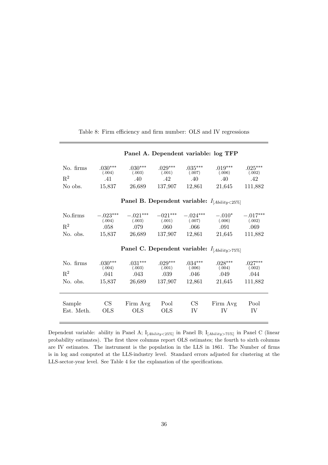| No. firms      | $.030***$<br>(.004)                               | $.030***$<br>(.003)                               | $.029***$<br>(.001) | $.035***$<br>(.007)  | $.019***$<br>(.006) | $.025***$<br>(.002)  |  |  |
|----------------|---------------------------------------------------|---------------------------------------------------|---------------------|----------------------|---------------------|----------------------|--|--|
| $\mathbf{R}^2$ | .41                                               | .40                                               | .42                 | .40                  | .40                 | .42                  |  |  |
| No obs.        | 15,837                                            | 26,689                                            | 137,907             | 12,861               | 21,645              | 111,882              |  |  |
|                |                                                   |                                                   |                     |                      |                     |                      |  |  |
|                |                                                   | Panel B. Dependent variable: $I_{[Ability<25\%]}$ |                     |                      |                     |                      |  |  |
| No.firms       | $-.023***$<br>(.004)                              | $-.021***$<br>(.003)                              | $-021***$<br>(.001) | $-.024***$<br>(.007) | $-.010*$<br>(.006)  | $-.017***$<br>(.002) |  |  |
| $\rm R^2$      | .058                                              | .079                                              | .060                | $.066\,$             | .091                | .069                 |  |  |
| No. obs.       | 15,837                                            | 26,689                                            | 137,907             | 12,861               | 21,645              | 111,882              |  |  |
|                | Panel C. Dependent variable: $I_{[Ability>75\%]}$ |                                                   |                     |                      |                     |                      |  |  |
| No. firms      | $.030***$<br>(.004)                               | $.031***$<br>(.003)                               | $.029***$<br>(.001) | $.034***$<br>(.006)  | $.028***$<br>(.004) | $.027***$<br>(.002)  |  |  |
| $\mathbf{R}^2$ | .041                                              | .043                                              | .039                | $.046\,$             | .049                | .044                 |  |  |
| No. obs.       | 15,837                                            | 26,689                                            | 137,907             | 12,861               | 21,645              | 111,882              |  |  |
|                |                                                   |                                                   |                     |                      |                     |                      |  |  |
| Sample         | CS                                                | Firm Avg                                          | Pool                | CS                   | Firm Avg            | Pool                 |  |  |
| Est. Meth.     | <b>OLS</b>                                        | <b>OLS</b>                                        | <b>OLS</b>          | IV                   | IV                  | IV                   |  |  |
|                |                                                   |                                                   |                     |                      |                     |                      |  |  |

Table 8: Firm efficiency and firm number: OLS and IV regressions

Panel A. Dependent variable: log TFP

Dependent variable: ability in Panel A;  $I_{[Ability<25\%]}$  in Panel B;  $I_{[Ability>75\%]}$  in Panel C (linear probability estimates). The first three columns report OLS estimates; the fourth to sixth columns are IV estimates. The instrument is the population in the LLS in 1861. The Number of firms is in log and computed at the LLS-industry level. Standard errors adjusted for clustering at the LLS-sector-year level. See Table 4 for the explanation of the specifications.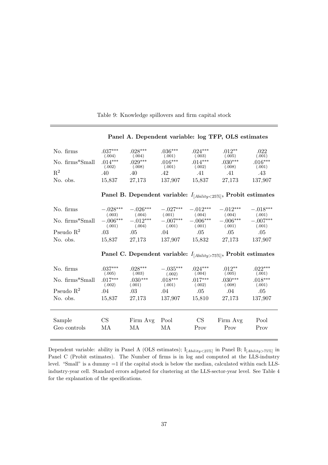| No. firms<br>No. firms*Small<br>$\mathbf{R}^2$<br>No. obs.        | $.037***$<br>(.004)<br>$.014***$<br>(.002)<br>.40<br>15,837   | $.028***$<br>(.004)<br>$.029***$<br>(.008)<br>.40<br>27,173          | $.036***$<br>(.001)<br>$.016***$<br>(.001)<br>$.42\,$<br>137,907 | $.024***$<br>(.003)<br>$.014***$<br>(.002)<br>.41<br>15,837       | $.012***$<br>(.005)<br>$.030***$<br>(.008)<br>.41<br>27,173   | .022<br>(.001)<br>$.016***$<br>(.001)<br>.43<br>137,907        |
|-------------------------------------------------------------------|---------------------------------------------------------------|----------------------------------------------------------------------|------------------------------------------------------------------|-------------------------------------------------------------------|---------------------------------------------------------------|----------------------------------------------------------------|
|                                                                   |                                                               | Panel B. Dependent variable: $I_{[Ability<25\%]}$ , Probit estimates |                                                                  |                                                                   |                                                               |                                                                |
| No. firms<br>No. firms*Small<br>Pseudo $\mathbb{R}^2$<br>No. obs. | $-.028***$<br>(.003)<br>$-.006***$<br>(.001)<br>.03<br>15,837 | $-.026***$<br>(.004)<br>$-.012***$<br>(.004)<br>.05<br>27,173        | $-.027***$<br>(.001)<br>$-.007***$<br>(.001)<br>.04<br>137,907   | $-.012***$<br>(.004)<br>$-.006***$<br>(.001)<br>$.05\,$<br>15,832 | $-.012***$<br>(.004)<br>$-.006***$<br>(.001)<br>.05<br>27,173 | $-.018***$<br>(.001)<br>$-.007***$<br>(.001)<br>.05<br>137,907 |
|                                                                   |                                                               | Panel C. Dependent variable: $I_{[Ability>75\%]}$ , Probit estimates |                                                                  |                                                                   |                                                               |                                                                |
| No. firms<br>No. firms*Small<br>Pseudo $\mathbb{R}^2$<br>No. obs. | $.037***$<br>(.005)<br>$.017***$<br>(.002)<br>.04<br>15,837   | $.028***$<br>(.003)<br>$.030***$<br>(.001)<br>.03<br>27,173          | $-.035***$<br>(.002)<br>$.018***$<br>(.001)<br>.04<br>137,907    | $.024***$<br>(.004)<br>$.017***$<br>(.002)<br>.05<br>15,810       | $.012**$<br>(.005)<br>$.030***$<br>(.008)<br>.04<br>27,173    | $.022***$<br>(.001)<br>$.018***$<br>(.001)<br>.05<br>137,907   |
| Sample<br>Geo controls                                            | CS<br>МA                                                      | Firm Avg<br>МA                                                       | Pool<br>MA                                                       | CS<br>Prov                                                        | Firm Avg<br>Prov                                              | Pool<br>Prov                                                   |

Table 9: Knowledge spillovers and firm capital stock

Dependent variable: ability in Panel A (OLS estimates);  $I_{[Ability<25\%]}$  in Panel B;  $I_{[Ability>75\%]}$  in Panel C (Probit estimates). The Number of firms is in log and computed at the LLS-industry level. "Small" is a dummy  $=1$  if the capital stock is below the median, calculated within each LLSindustry-year cell. Standard errors adjusted for clustering at the LLS-sector-year level. See Table 4 for the explanation of the specifications.